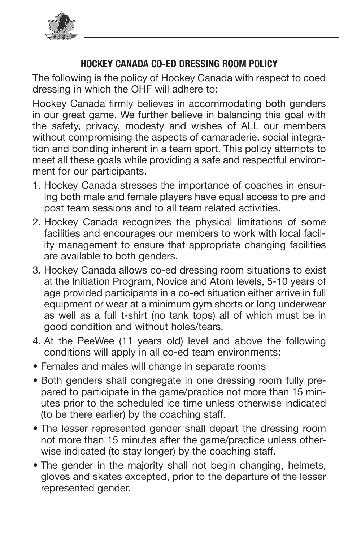

## **HOCKEY CANADA CO-ED DRESSING ROOM POLICY**

The following is the policy of Hockey Canada with respect to coed dressing in which the OHF will adhere to:

Hockey Canada firmly believes in accommodating both genders in our great game. We further believe in balancing this goal with in our great game. we further believe in balancing this goal with<br>the safety, privacy, modesty and wishes of ALL our members without compromising the aspects of camaraderie, social integration and bonding inherent in a team sport. This policy attempts to meet all these goals while providing a safe and respectful environment for our participants.

- ment for our participants.<br>1. Hockey Canada stresses the importance of coaches in ensuring both male and female players have equal access to pre and my bout that alle terms payers have equal access to produce.<br>post team sessions and to all team related activities. Foundy Un
- poor ream ecosions and to all ream related determined.<br>2. Hockey Canada recognizes the physical limitations of some From participation in programs in the process in the anti-<br>**Facilities and encourages our members to work with local facil**determined and enecedary or an intermined to them manipolities in the Member Partner exclusion policy or as not<br>ity management to ensure that appropriate changing facilities are available to both genders.
- 3. Hockey Canada allows co-ed dressing room situations to exist at the Initiation Program, Novice and Atom levels, 5-10 years of age provided participants in a co-ed situation either arrive in full equipment or wear at a minimum gym shorts or long underwear equipment of wear at a minimum gym shorts or long underwear<br>as well as a full t-shirt (no tank tops) all of which must be in France Condition and without holes/tears.
- 4. At the PeeWee (11 years old) level and above the following conditions will apply in all co-ed team environments:
- Females and males will change in separate rooms
- Both genders shall congregate in one dressing room fully prepared to participate in the game/practice not more than 15 minparts to partner in the scheduled ice time unless otherwise indicated the protocol contribution of the expiration of the expiration of the expiration of the penalty of the penalty of the penalty of the penalty of the penalty of the penalty of the penalty of the penalty of the penalty of the
- The lesser represented gender shall depart the dressing room it is the control of the game. The creating computer the objects of any person required to the produce a criminal of the objects of the party of any person required to produce a criminal of the party of the party of the st received than the ministed area are same practice amose can<br>wise indicated (to stay longer) by the coaching staff.
- The gender in the majority shall not begin changing, helmets, The gender in the majority shall not begin changing, helmets,<br>gloves and skates excepted, prior to the departure of the lesser gioned and enable excepted, prior to and departate of the recent<br>represented gender. pprocessional general each approcessional Designation  $P$